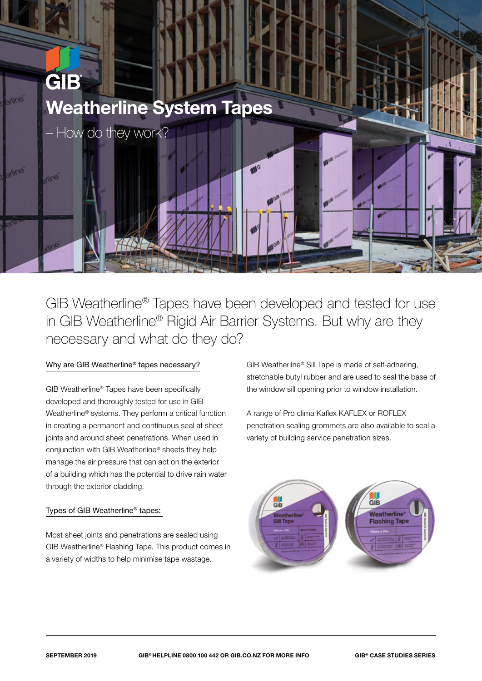

GIB Weatherline® Tapes have been developed and tested for use in GIB Weatherline® Rigid Air Barrier Systems. But why are they necessary and what do they do?

## Why are GIB Weatherline® tapes necessary?

GIB Weatherline® Tapes have been specifically developed and thoroughly tested for use in GIB Weatherline® systems. They perform a critical function in creating a permanent and continuous seal at sheet joints and around sheet penetrations. When used in conjunction with GIB Weatherline® sheets they help manage the air pressure that can act on the exterior of a building which has the potential to drive rain water through the exterior cladding.

## Types of GIB Weatherline® tapes:

Most sheet joints and penetrations are sealed using GIB Weatherline® Flashing Tape. This product comes in a variety of widths to help minimise tape wastage.

GIB Weatherline® Sill Tape is made of self-adhering, stretchable butyl rubber and are used to seal the base of the window sill opening prior to window installation.

A range of Pro clima Kaflex KAFLEX or ROFLEX penetration sealing grommets are also available to seal a variety of building service penetration sizes.